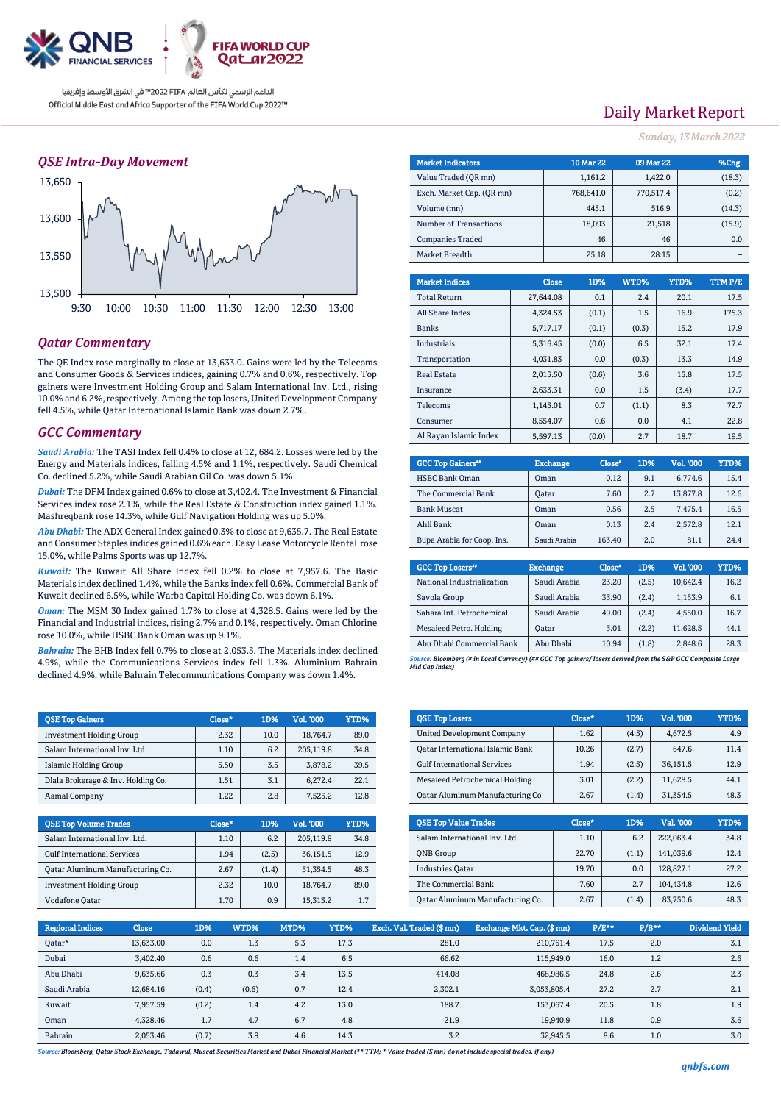

## *QSE Intra-Day Movement*



## *Qatar Commentary*

The QE Index rose marginally to close at 13,633.0. Gains were led by the Telecoms and Consumer Goods & Services indices, gaining 0.7% and 0.6%, respectively. Top gainers were Investment Holding Group and Salam International Inv. Ltd., rising 10.0% and 6.2%, respectively. Among the top losers, United Development Company fell 4.5%, while Qatar International Islamic Bank was down 2.7%.

### *GCC Commentary*

*Saudi Arabia:* The TASI Index fell 0.4% to close at 12, 684.2. Losses were led by the Energy and Materials indices, falling 4.5% and 1.1%, respectively. Saudi Chemical Co. declined 5.2%, while Saudi Arabian Oil Co. was down 5.1%.

*Dubai:* The DFM Index gained 0.6% to close at 3,402.4. The Investment & Financial Services index rose 2.1%, while the Real Estate & Construction index gained 1.1%. Mashreqbank rose 14.3%, while Gulf Navigation Holding was up 5.0%.

*Abu Dhabi:* The ADX General Index gained 0.3% to close at 9,635.7. The Real Estate and Consumer Staples indices gained 0.6% each. Easy Lease Motorcycle Rental rose 15.0%, while Palms Sports was up 12.7%.

*Kuwait:* The Kuwait All Share Index fell 0.2% to close at 7,957.6. The Basic Materials index declined 1.4%, while the Banks index fell 0.6%. Commercial Bank of Kuwait declined 6.5%, while Warba Capital Holding Co. was down 6.1%.

*Oman:* The MSM 30 Index gained 1.7% to close at 4,328.5. Gains were led by the Financial and Industrial indices, rising 2.7% and 0.1%, respectively. Oman Chlorine rose 10.0%, while HSBC Bank Oman was up 9.1%.

*Bahrain:* The BHB Index fell 0.7% to close at 2,053.5. The Materials index declined 4.9%, while the Communications Services index fell 1.3%. Aluminium Bahrain declined 4.9%, while Bahrain Telecommunications Company was down 1.4%.

| <b>OSE Top Gainers</b>             | Close* | 1D%  | <b>Vol. '000</b> | YTD% |
|------------------------------------|--------|------|------------------|------|
| <b>Investment Holding Group</b>    | 2.32   | 10.0 | 18.764.7         | 89.0 |
| Salam International Inv. Ltd.      | 1.10   | 6.2  | 205.119.8        | 34.8 |
| Islamic Holding Group              | 5.50   | 3.5  | 3.878.2          | 39.5 |
| Dlala Brokerage & Inv. Holding Co. | 1.51   | 3.1  | 6.272.4          | 22.1 |
| Aamal Company                      | 1.22   | 2.8  | 7.525.2          | 12.8 |

| <b>QSE Top Volume Trades</b>       | Close* | 1D%   | Vol. '000 | YTD% |
|------------------------------------|--------|-------|-----------|------|
| Salam International Inv. Ltd.      | 1.10   | 6.2   | 205.119.8 | 34.8 |
| <b>Gulf International Services</b> | 1.94   | (2.5) | 36,151.5  | 12.9 |
| Qatar Aluminum Manufacturing Co.   | 2.67   | (1.4) | 31.354.5  | 48.3 |
| <b>Investment Holding Group</b>    | 2.32   | 10.0  | 18.764.7  | 89.0 |
| Vodafone Qatar                     | 1.70   | 0.9   | 15,313.2  | 1.7  |

# Daily Market Report

*Sunday, 13March2022*

| <b>Market Indicators</b>  | <b>10 Mar 22</b> | 09 Mar 22 | %Chg.  |
|---------------------------|------------------|-----------|--------|
| Value Traded (OR mn)      | 1,161.2          | 1,422.0   | (18.3) |
| Exch. Market Cap. (OR mn) | 768.641.0        | 770,517.4 | (0.2)  |
| Volume (mn)               | 443.1            | 516.9     | (14.3) |
| Number of Transactions    | 18,093           | 21,518    | (15.9) |
| <b>Companies Traded</b>   | 46               | 46        | 0.0    |
| Market Breadth            | 25:18            | 28:15     |        |
|                           |                  |           |        |

| <b>Market Indices</b>  | <b>Close</b> | 1D%   | WTD%  | YTD%  | TTMP/E |
|------------------------|--------------|-------|-------|-------|--------|
| <b>Total Return</b>    | 27.644.08    | 0.1   | 2.4   | 20.1  | 17.5   |
| All Share Index        | 4.324.53     | (0.1) | 1.5   | 16.9  | 175.3  |
| <b>Banks</b>           | 5,717.17     | (0.1) | (0.3) | 15.2  | 17.9   |
| <b>Industrials</b>     | 5.316.45     | (0.0) | 6.5   | 32.1  | 17.4   |
| Transportation         | 4,031.83     | 0.0   | (0.3) | 13.3  | 14.9   |
| <b>Real Estate</b>     | 2.015.50     | (0.6) | 3.6   | 15.8  | 17.5   |
| Insurance              | 2.633.31     | 0.0   | 1.5   | (3.4) | 17.7   |
| Telecoms               | 1.145.01     | 0.7   | (1.1) | 8.3   | 72.7   |
| Consumer               | 8.554.07     | 0.6   | 0.0   | 4.1   | 22.8   |
| Al Rayan Islamic Index | 5.597.13     | (0.0) | 2.7   | 18.7  | 19.5   |

| <b>GCC Top Gainers</b> "   | <b>Exchange</b> | Close <sup>®</sup> | 1D% | Vol. '000 | YTD% |
|----------------------------|-----------------|--------------------|-----|-----------|------|
| <b>HSBC Bank Oman</b>      | Oman            | 0.12               | 9.1 | 6,774.6   | 15.4 |
| The Commercial Bank        | Oatar           | 7.60               | 2.7 | 13,877.8  | 12.6 |
| <b>Bank Muscat</b>         | Oman            | 0.56               | 2.5 | 7.475.4   | 16.5 |
| Ahli Bank                  | Oman            | 0.13               | 2.4 | 2.572.8   | 12.1 |
| Bupa Arabia for Coop. Ins. | Saudi Arabia    | 163.40             | 2.0 | 81.1      | 24.4 |

| <b>GCC Top Losers</b> "        | <b>Exchange</b> | Close <sup>®</sup> | 1D%   | Vol. '000 | YTD% |
|--------------------------------|-----------------|--------------------|-------|-----------|------|
| National Industrialization     | Saudi Arabia    | 23.20              | (2.5) | 10.642.4  | 16.2 |
| Savola Group                   | Saudi Arabia    | 33.90              | (2.4) | 1,153.9   | 6.1  |
| Sahara Int. Petrochemical      | Saudi Arabia    | 49.00              | (2.4) | 4,550.0   | 16.7 |
| <b>Mesaieed Petro. Holding</b> | Oatar           | 3.01               | (2.2) | 11.628.5  | 44.1 |
| Abu Dhabi Commercial Bank      | Abu Dhabi       | 10.94              | (1.8) | 2,848.6   | 28.3 |

*Source: Bloomberg (# in Local Currency) (## GCC Top gainers/ losers derived from the S&P GCC Composite Large Mid Cap Index)*

| <b>QSE Top Losers</b>                   | Close* | 1D%   | <b>Vol. '000</b> | YTD% |
|-----------------------------------------|--------|-------|------------------|------|
| United Development Company              | 1.62   | (4.5) | 4.672.5          | 4.9  |
| <b>Qatar International Islamic Bank</b> | 10.26  | (2.7) | 647.6            | 11.4 |
| <b>Gulf International Services</b>      | 1.94   | (2.5) | 36.151.5         | 12.9 |
| Mesaieed Petrochemical Holding          | 3.01   | (2.2) | 11.628.5         | 44.1 |
| <b>Qatar Aluminum Manufacturing Co</b>  | 2.67   | (1.4) | 31,354.5         | 48.3 |

| <b>OSE Top Value Trades</b>      | $Close*$ | 1D%   | Val. '000 | YTD% |
|----------------------------------|----------|-------|-----------|------|
| Salam International Inv. Ltd.    | 1.10     | 6.2   | 222.063.4 | 34.8 |
| <b>ONB</b> Group                 | 22.70    | (1.1) | 141.039.6 | 12.4 |
| <b>Industries Oatar</b>          | 19.70    | 0.0   | 128,827.1 | 27.2 |
| The Commercial Bank              | 7.60     | 2.7   | 104.434.8 | 12.6 |
| Oatar Aluminum Manufacturing Co. | 2.67     | (1.4) | 83,750.6  | 48.3 |

| <b>Regional Indices</b> | <b>Close</b> | 1D%   | WTD%  | MTD% | YTD% | Exch. Val. Traded (\$ mn) | Exchange Mkt. Cap. (\$ mn) | $P/E**$ | $P/B**$ | Dividend Yield |
|-------------------------|--------------|-------|-------|------|------|---------------------------|----------------------------|---------|---------|----------------|
| Qatar*                  | 13.633.00    | 0.0   | 1.3   | 5.3  | 17.3 | 281.0                     | 210.761.4                  | 17.5    | 2.0     | 3.1            |
| Dubai                   | 3.402.40     | 0.6   | 0.6   | 1.4  | 6.5  | 66.62                     | 115.949.0                  | 16.0    | 1.2     | 2.6            |
| Abu Dhabi               | 9,635.66     | 0.3   | 0.3   | 3.4  | 13.5 | 414.08                    | 468.986.5                  | 24.8    | 2.6     | 2.3            |
| Saudi Arabia            | 12,684.16    | (0.4) | (0.6) | 0.7  | 12.4 | 2,302.1                   | 3,053,805.4                | 27.2    | 2.7     | 2.1            |
| Kuwait                  | 7,957.59     | (0.2) | 1.4   | 4.2  | 13.0 | 188.7                     | 153.067.4                  | 20.5    | 1.8     | 1.9            |
| Oman                    | 4.328.46     | 1.7   | 4.7   | 6.7  | 4.8  | 21.9                      | 19.940.9                   | 11.8    | 0.9     | 3.6            |
| Bahrain                 | 2.053.46     | (0.7) | 3.9   | 4.6  | 14.3 | 3.2                       | 32.945.5                   | 8.6     | 1.0     | 3.0            |

*Source: Bloomberg, Qatar Stock Exchange, Tadawul, Muscat Securities Market and Dubai Financial Market (\*\* TTM; \* Value traded (\$ mn) do not include special trades, if any)*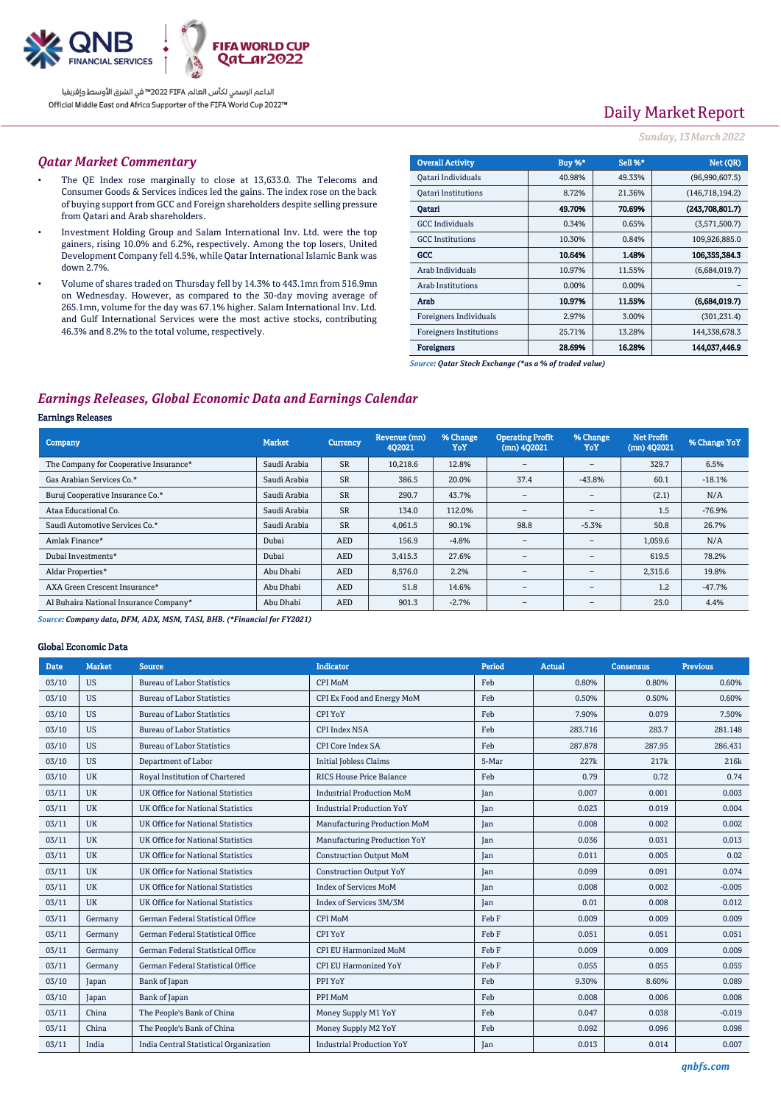

# Daily Market Report

### *Sunday, 13March2022*

### *Qatar Market Commentary*

- The QE Index rose marginally to close at 13,633.0. The Telecoms and Consumer Goods & Services indices led the gains. The index rose on the back of buying support from GCC and Foreign shareholders despite selling pressure from Qatari and Arab shareholders.
- Investment Holding Group and Salam International Inv. Ltd. were the top gainers, rising 10.0% and 6.2%, respectively. Among the top losers, United Development Company fell 4.5%, while Qatar International Islamic Bank was down 2.7%.
- Volume of shares traded on Thursday fell by 14.3% to 443.1mn from 516.9mn on Wednesday. However, as compared to the 30-day moving average of 265.1mn, volume for the day was 67.1% higher. Salam International Inv. Ltd. and Gulf International Services were the most active stocks, contributing 46.3% and 8.2% to the total volume, respectively.

| <b>Overall Activity</b>        | Buy %* | Sell %* | Net (OR)          |
|--------------------------------|--------|---------|-------------------|
| Qatari Individuals             | 40.98% | 49.33%  | (96,990,607.5)    |
| <b>Oatari Institutions</b>     | 8.72%  | 21.36%  | (146, 718, 194.2) |
| Oatari                         | 49.70% | 70.69%  | (243,708,801.7)   |
| <b>GCC</b> Individuals         | 0.34%  | 0.65%   | (3,571,500.7)     |
| <b>GCC</b> Institutions        | 10.30% | 0.84%   | 109,926,885.0     |
| GCC                            | 10.64% | 1.48%   | 106,355,384.3     |
| Arab Individuals               | 10.97% | 11.55%  | (6,684,019.7)     |
| <b>Arab Institutions</b>       | 0.00%  | 0.00%   |                   |
| Arab                           | 10.97% | 11.55%  | (6,684,019.7)     |
| Foreigners Individuals         | 2.97%  | 3.00%   | (301, 231.4)      |
| <b>Foreigners Institutions</b> | 25.71% | 13.28%  | 144,338,678.3     |
| <b>Foreigners</b>              | 28.69% | 16.28%  | 144,037,446.9     |

*Source: Qatar Stock Exchange (\*as a % of traded value)*

## *Earnings Releases, Global Economic Data and Earnings Calendar*

#### Earnings Releases

| <b>Company</b>                         | <b>Market</b> | Currency   | Revenue (mn)<br>402021 | % Change<br>YoY | <b>Operating Profit</b><br>$(mn)$ 402021 | % Change<br>YoY                 | <b>Net Profit</b><br>$(mn)$ 402021 | % Change YoY |
|----------------------------------------|---------------|------------|------------------------|-----------------|------------------------------------------|---------------------------------|------------------------------------|--------------|
| The Company for Cooperative Insurance* | Saudi Arabia  | <b>SR</b>  | 10,218.6               | 12.8%           | $\overline{\phantom{a}}$                 | $\qquad \qquad =$               | 329.7                              | 6.5%         |
| Gas Arabian Services Co.*              | Saudi Arabia  | <b>SR</b>  | 386.5                  | 20.0%           | 37.4                                     | $-43.8%$                        | 60.1                               | $-18.1%$     |
| Buruj Cooperative Insurance Co.*       | Saudi Arabia  | <b>SR</b>  | 290.7                  | 43.7%           | $\overline{\phantom{a}}$                 | $\hspace{0.1mm}-\hspace{0.1mm}$ | (2.1)                              | N/A          |
| Ataa Educational Co.                   | Saudi Arabia  | <b>SR</b>  | 134.0                  | 112.0%          | $\qquad \qquad$                          | $\hspace{0.1mm}-\hspace{0.1mm}$ | 1.5                                | $-76.9%$     |
| Saudi Automotive Services Co.*         | Saudi Arabia  | <b>SR</b>  | 4,061.5                | 90.1%           | 98.8                                     | $-5.3%$                         | 50.8                               | 26.7%        |
| Amlak Finance*                         | Dubai         | <b>AED</b> | 156.9                  | $-4.8%$         | -                                        | $\qquad \qquad =$               | 1,059.6                            | N/A          |
| Dubai Investments*                     | Dubai         | <b>AED</b> | 3,415.3                | 27.6%           | $\overline{\phantom{a}}$                 | $\overline{\phantom{a}}$        | 619.5                              | 78.2%        |
| Aldar Properties*                      | Abu Dhabi     | <b>AED</b> | 8.576.0                | 2.2%            | $\overline{\phantom{a}}$                 | $\hspace{0.1mm}-\hspace{0.1mm}$ | 2,315.6                            | 19.8%        |
| AXA Green Crescent Insurance*          | Abu Dhabi     | <b>AED</b> | 51.8                   | 14.6%           | $\overline{\phantom{a}}$                 | $\overline{\phantom{a}}$        | 1.2                                | $-47.7%$     |
| Al Buhaira National Insurance Company* | Abu Dhabi     | <b>AED</b> | 901.3                  | $-2.7%$         | $\overline{\phantom{a}}$                 | $\hspace{0.1mm}-\hspace{0.1mm}$ | 25.0                               | 4.4%         |

*Source: Company data, DFM, ADX, MSM, TASI, BHB. (\*Financial for FY2021)*

#### Global Economic Data

| <b>Date</b> | <b>Market</b> | <b>Source</b>                            | <b>Indicator</b>                 | Period | Actual  | <b>Consensus</b> | <b>Previous</b>  |
|-------------|---------------|------------------------------------------|----------------------------------|--------|---------|------------------|------------------|
| 03/10       | <b>US</b>     | <b>Bureau of Labor Statistics</b>        | CPI MoM                          | Feb    | 0.80%   | 0.80%            | 0.60%            |
| 03/10       | <b>US</b>     | <b>Bureau of Labor Statistics</b>        | CPI Ex Food and Energy MoM       | Feb    | 0.50%   | 0.50%            | 0.60%            |
| 03/10       | <b>US</b>     | <b>Bureau of Labor Statistics</b>        | <b>CPI YoY</b>                   | Feb    | 7.90%   | 0.079            | 7.50%            |
| 03/10       | <b>US</b>     | <b>Bureau of Labor Statistics</b>        | <b>CPI Index NSA</b>             | Feb    | 283.716 | 283.7            | 281.148          |
| 03/10       | <b>US</b>     | <b>Bureau of Labor Statistics</b>        | <b>CPI Core Index SA</b>         | Feb    | 287.878 | 287.95           | 286.431          |
| 03/10       | <b>US</b>     | Department of Labor                      | <b>Initial Jobless Claims</b>    | 5-Mar  | 227k    | 217k             | 216 <sub>k</sub> |
| 03/10       | <b>UK</b>     | Royal Institution of Chartered           | <b>RICS House Price Balance</b>  | Feb    | 0.79    | 0.72             | 0.74             |
| 03/11       | <b>UK</b>     | UK Office for National Statistics        | <b>Industrial Production MoM</b> | Jan    | 0.007   | 0.001            | 0.003            |
| 03/11       | <b>UK</b>     | UK Office for National Statistics        | <b>Industrial Production YoY</b> | Jan    | 0.023   | 0.019            | 0.004            |
| 03/11       | <b>UK</b>     | <b>UK Office for National Statistics</b> | Manufacturing Production MoM     | Jan    | 0.008   | 0.002            | 0.002            |
| 03/11       | <b>UK</b>     | <b>UK Office for National Statistics</b> | Manufacturing Production YoY     | Jan    | 0.036   | 0.031            | 0.013            |
| 03/11       | <b>UK</b>     | <b>UK Office for National Statistics</b> | <b>Construction Output MoM</b>   | Jan    | 0.011   | 0.005            | 0.02             |
| 03/11       | <b>UK</b>     | UK Office for National Statistics        | <b>Construction Output YoY</b>   | Jan    | 0.099   | 0.091            | 0.074            |
| 03/11       | <b>UK</b>     | UK Office for National Statistics        | <b>Index of Services MoM</b>     | Jan    | 0.008   | 0.002            | $-0.005$         |
| 03/11       | <b>UK</b>     | UK Office for National Statistics        | Index of Services 3M/3M          | Jan    | 0.01    | 0.008            | 0.012            |
| 03/11       | Germany       | German Federal Statistical Office        | CPI MoM                          | Feb F  | 0.009   | 0.009            | 0.009            |
| 03/11       | Germany       | German Federal Statistical Office        | <b>CPI YoY</b>                   | Feb F  | 0.051   | 0.051            | 0.051            |
| 03/11       | Germany       | German Federal Statistical Office        | <b>CPI EU Harmonized MoM</b>     | Feb F  | 0.009   | 0.009            | 0.009            |
| 03/11       | Germany       | German Federal Statistical Office        | <b>CPI EU Harmonized YoY</b>     | Feb F  | 0.055   | 0.055            | 0.055            |
| 03/10       | Japan         | Bank of Japan                            | PPI YoY                          | Feb    | 9.30%   | 8.60%            | 0.089            |
| 03/10       | Japan         | Bank of Japan                            | PPI MoM                          | Feb    | 0.008   | 0.006            | 0.008            |
| 03/11       | China         | The People's Bank of China               | Money Supply M1 YoY              | Feb    | 0.047   | 0.038            | $-0.019$         |
| 03/11       | China         | The People's Bank of China               | Money Supply M2 YoY              | Feb    | 0.092   | 0.096            | 0.098            |
| 03/11       | India         | India Central Statistical Organization   | <b>Industrial Production YoY</b> | Jan    | 0.013   | 0.014            | 0.007            |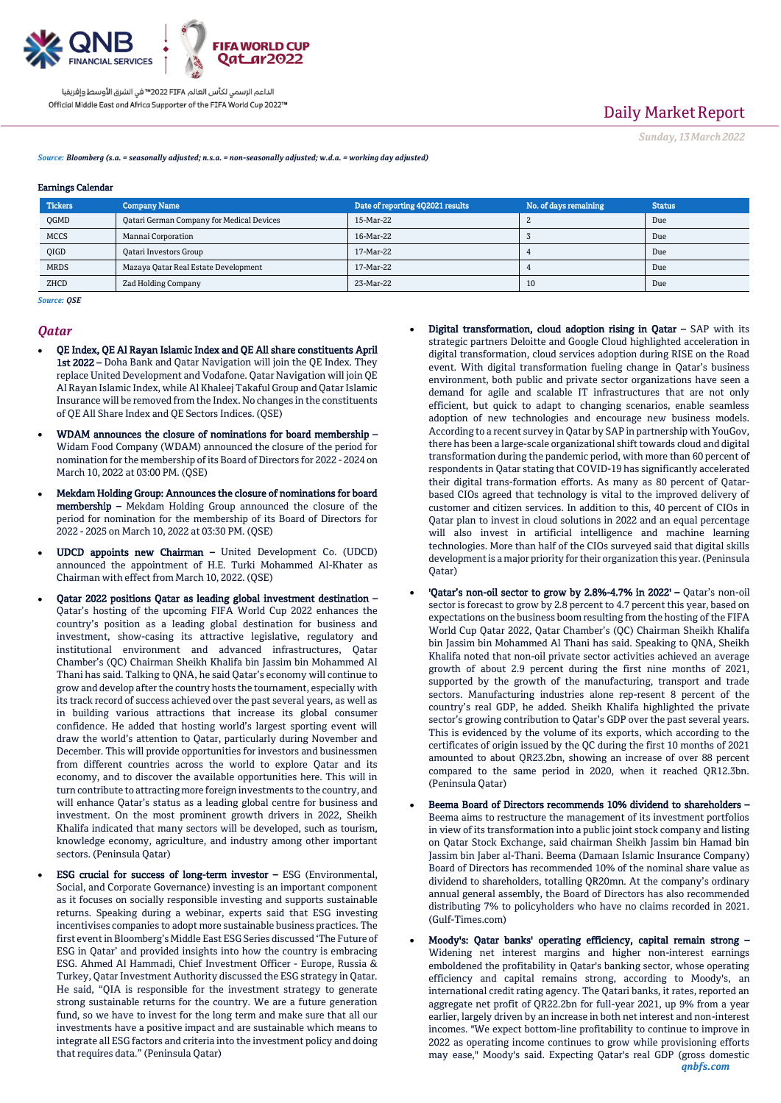

# Daily Market Report

*Sunday, 13March2022*

*Source: Bloomberg (s.a. = seasonally adjusted; n.s.a. = non-seasonally adjusted; w.d.a. = working day adjusted)*

#### Earnings Calendar

| <b>Tickers</b> | <b>Company Name</b>                       | Date of reporting 4Q2021 results | No. of days remaining | <b>Status</b> |
|----------------|-------------------------------------------|----------------------------------|-----------------------|---------------|
| QGMD           | Qatari German Company for Medical Devices | 15-Mar-22                        |                       | Due           |
| <b>MCCS</b>    | Mannai Corporation                        | 16-Mar-22                        |                       | Due           |
| QIGD           | <b>Qatari Investors Group</b>             | 17-Mar-22                        |                       | Due           |
| <b>MRDS</b>    | Mazaya Qatar Real Estate Development      | 17-Mar-22                        |                       | Due           |
| ZHCD           | Zad Holding Company                       | 23-Mar-22                        | 10                    | Due           |

*Source: QSE*

#### *Qatar*

- QE Index, QE Al Rayan Islamic Index and QE All share constituents April 1st 2022 – Doha Bank and Qatar Navigation will join the QE Index. They replace United Development and Vodafone. Qatar Navigation will join QE Al Rayan Islamic Index, while Al Khaleej Takaful Group and Qatar Islamic Insurance will be removed from the Index. No changes in the constituents of QE All Share Index and QE Sectors Indices. (QSE)
- WDAM announces the closure of nominations for board membership Widam Food Company (WDAM) announced the closure of the period for nomination for the membership of its Board of Directors for 2022 - 2024 on March 10, 2022 at 03:00 PM. (QSE)
- Mekdam Holding Group: Announces the closure of nominations for board membership – Mekdam Holding Group announced the closure of the period for nomination for the membership of its Board of Directors for 2022 - 2025 on March 10, 2022 at 03:30 PM. (QSE)
- UDCD appoints new Chairman United Development Co. (UDCD) announced the appointment of H.E. Turki Mohammed Al-Khater as Chairman with effect from March 10, 2022. (QSE)
- Qatar 2022 positions Qatar as leading global investment destination Qatar's hosting of the upcoming FIFA World Cup 2022 enhances the country's position as a leading global destination for business and investment, show-casing its attractive legislative, regulatory and institutional environment and advanced infrastructures, Qatar Chamber's (QC) Chairman Sheikh Khalifa bin Jassim bin Mohammed Al Thani has said. Talking to QNA, he said Qatar's economy will continue to grow and develop after the country hosts the tournament, especially with its track record of success achieved over the past several years, as well as in building various attractions that increase its global consumer confidence. He added that hosting world's largest sporting event will draw the world's attention to Qatar, particularly during November and December. This will provide opportunities for investors and businessmen from different countries across the world to explore Qatar and its economy, and to discover the available opportunities here. This will in turn contribute to attracting more foreign investments to the country, and will enhance Qatar's status as a leading global centre for business and investment. On the most prominent growth drivers in 2022, Sheikh Khalifa indicated that many sectors will be developed, such as tourism, knowledge economy, agriculture, and industry among other important sectors. (Peninsula Qatar)
	- ESG crucial for success of long-term investor ESG (Environmental, Social, and Corporate Governance) investing is an important component as it focuses on socially responsible investing and supports sustainable returns. Speaking during a webinar, experts said that ESG investing incentivises companies to adopt more sustainable business practices. The first event in Bloomberg's Middle East ESG Series discussed 'The Future of ESG in Qatar' and provided insights into how the country is embracing ESG. Ahmed Al Hammadi, Chief Investment Officer - Europe, Russia & Turkey, Qatar Investment Authority discussed the ESG strategy in Qatar. He said, "QIA is responsible for the investment strategy to generate strong sustainable returns for the country. We are a future generation fund, so we have to invest for the long term and make sure that all our investments have a positive impact and are sustainable which means to integrate all ESG factors and criteria into the investment policy and doing that requires data." (Peninsula Qatar)
- Digital transformation, cloud adoption rising in Qatar SAP with its strategic partners Deloitte and Google Cloud highlighted acceleration in digital transformation, cloud services adoption during RISE on the Road event. With digital transformation fueling change in Qatar's business environment, both public and private sector organizations have seen a demand for agile and scalable IT infrastructures that are not only efficient, but quick to adapt to changing scenarios, enable seamless adoption of new technologies and encourage new business models. According to a recent survey in Qatar by SAP in partnership with YouGov, there has been a large-scale organizational shift towards cloud and digital transformation during the pandemic period, with more than 60 percent of respondents in Qatar stating that COVID-19 has significantly accelerated their digital trans-formation efforts. As many as 80 percent of Qatarbased CIOs agreed that technology is vital to the improved delivery of customer and citizen services. In addition to this, 40 percent of CIOs in Qatar plan to invest in cloud solutions in 2022 and an equal percentage will also invest in artificial intelligence and machine learning technologies. More than half of the CIOs surveyed said that digital skills development is a major priority for their organization this year. (Peninsula Qatar)
- 'Qatar's non-oil sector to grow by 2.8%-4.7% in 2022' Qatar's non-oil sector is forecast to grow by 2.8 percent to 4.7 percent this year, based on expectations on the business boom resulting from the hosting of the FIFA World Cup Qatar 2022, Qatar Chamber's (QC) Chairman Sheikh Khalifa bin Jassim bin Mohammed Al Thani has said. Speaking to QNA, Sheikh Khalifa noted that non-oil private sector activities achieved an average growth of about 2.9 percent during the first nine months of 2021, supported by the growth of the manufacturing, transport and trade sectors. Manufacturing industries alone rep-resent 8 percent of the country's real GDP, he added. Sheikh Khalifa highlighted the private sector's growing contribution to Qatar's GDP over the past several years. This is evidenced by the volume of its exports, which according to the certificates of origin issued by the QC during the first 10 months of 2021 amounted to about QR23.2bn, showing an increase of over 88 percent compared to the same period in 2020, when it reached QR12.3bn. (Peninsula Qatar)
- Beema Board of Directors recommends 10% dividend to shareholders Beema aims to restructure the management of its investment portfolios in view of its transformation into a public joint stock company and listing on Qatar Stock Exchange, said chairman Sheikh Jassim bin Hamad bin Jassim bin Jaber al-Thani. Beema (Damaan Islamic Insurance Company) Board of Directors has recommended 10% of the nominal share value as dividend to shareholders, totalling QR20mn. At the company's ordinary annual general assembly, the Board of Directors has also recommended distributing 7% to policyholders who have no claims recorded in 2021. (Gulf-Times.com)
- *qnbfs.com* Moody's: Qatar banks' operating efficiency, capital remain strong – Widening net interest margins and higher non-interest earnings emboldened the profitability in Qatar's banking sector, whose operating efficiency and capital remains strong, according to Moody's, an international credit rating agency. The Qatari banks, it rates, reported an aggregate net profit of QR22.2bn for full-year 2021, up 9% from a year earlier, largely driven by an increase in both net interest and non-interest incomes. "We expect bottom-line profitability to continue to improve in 2022 as operating income continues to grow while provisioning efforts may ease," Moody's said. Expecting Qatar's real GDP (gross domestic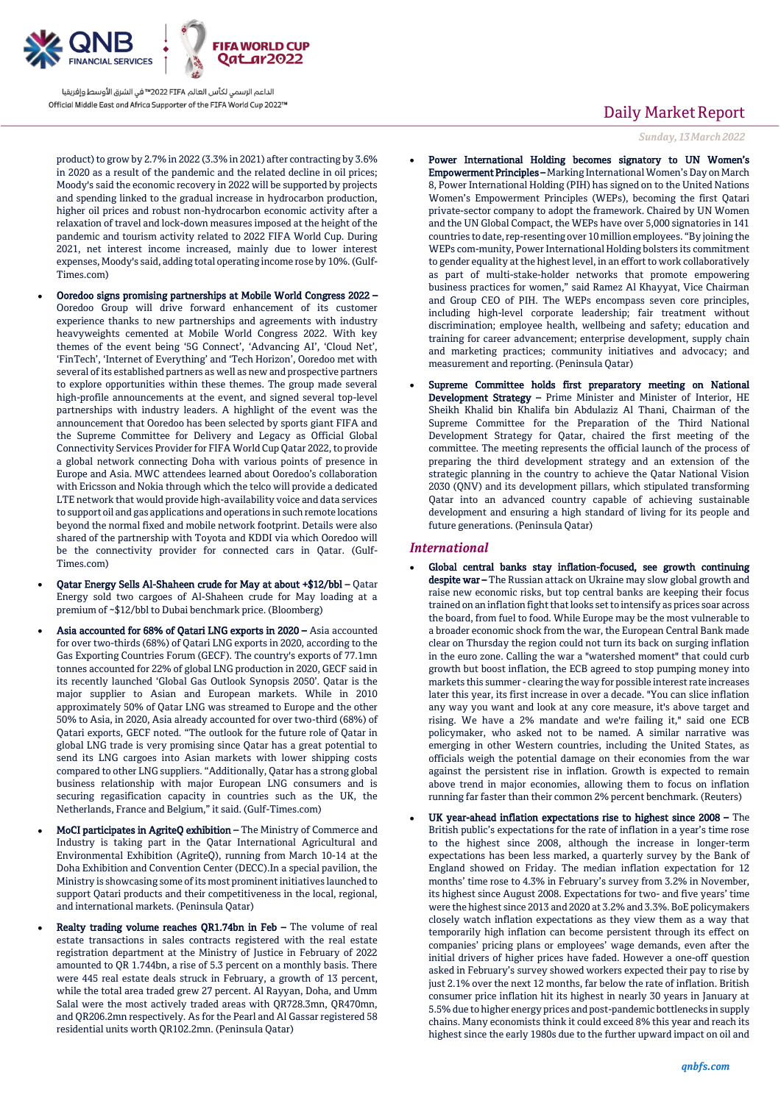

product) to grow by 2.7% in 2022 (3.3% in 2021) after contracting by 3.6% in 2020 as a result of the pandemic and the related decline in oil prices; Moody's said the economic recovery in 2022 will be supported by projects and spending linked to the gradual increase in hydrocarbon production, higher oil prices and robust non-hydrocarbon economic activity after a relaxation of travel and lock-down measures imposed at the height of the pandemic and tourism activity related to 2022 FIFA World Cup. During 2021, net interest income increased, mainly due to lower interest expenses, Moody's said, adding total operating income rose by 10%. (Gulf-Times.com)

- Ooredoo signs promising partnerships at Mobile World Congress 2022 Ooredoo Group will drive forward enhancement of its customer experience thanks to new partnerships and agreements with industry heavyweights cemented at Mobile World Congress 2022. With key themes of the event being '5G Connect', 'Advancing AI', 'Cloud Net', 'FinTech', 'Internet of Everything' and 'Tech Horizon', Ooredoo met with several of its established partners as well as new and prospective partners to explore opportunities within these themes. The group made several high-profile announcements at the event, and signed several top-level partnerships with industry leaders. A highlight of the event was the announcement that Ooredoo has been selected by sports giant FIFA and the Supreme Committee for Delivery and Legacy as Official Global Connectivity Services Provider for FIFA World Cup Qatar 2022, to provide a global network connecting Doha with various points of presence in Europe and Asia. MWC attendees learned about Ooredoo's collaboration with Ericsson and Nokia through which the telco will provide a dedicated LTE network that would provide high-availability voice and data services to support oil and gas applications and operations in such remote locations beyond the normal fixed and mobile network footprint. Details were also shared of the partnership with Toyota and KDDI via which Ooredoo will be the connectivity provider for connected cars in Qatar. (Gulf-Times.com)
- Qatar Energy Sells Al-Shaheen crude for May at about +\$12/bbl Qatar Energy sold two cargoes of Al-Shaheen crude for May loading at a premium of ~\$12/bbl to Dubai benchmark price. (Bloomberg)
- Asia accounted for 68% of Qatari LNG exports in 2020 Asia accounted for over two-thirds (68%) of Qatari LNG exports in 2020, according to the Gas Exporting Countries Forum (GECF). The country's exports of 77.1mn tonnes accounted for 22% of global LNG production in 2020, GECF said in its recently launched 'Global Gas Outlook Synopsis 2050'. Qatar is the major supplier to Asian and European markets. While in 2010 approximately 50% of Qatar LNG was streamed to Europe and the other 50% to Asia, in 2020, Asia already accounted for over two-third (68%) of Qatari exports, GECF noted. "The outlook for the future role of Qatar in global LNG trade is very promising since Qatar has a great potential to send its LNG cargoes into Asian markets with lower shipping costs compared to other LNG suppliers. "Additionally, Qatar has a strong global business relationship with major European LNG consumers and is securing regasification capacity in countries such as the UK, the Netherlands, France and Belgium," it said. (Gulf-Times.com)
- MoCI participates in AgriteQ exhibition The Ministry of Commerce and Industry is taking part in the Qatar International Agricultural and Environmental Exhibition (AgriteQ), running from March 10-14 at the Doha Exhibition and Convention Center (DECC).In a special pavilion, the Ministry is showcasing some of its most prominent initiatives launched to support Qatari products and their competitiveness in the local, regional, and international markets. (Peninsula Qatar)
- Realty trading volume reaches QR1.74bn in Feb The volume of real estate transactions in sales contracts registered with the real estate registration department at the Ministry of Justice in February of 2022 amounted to QR 1.744bn, a rise of 5.3 percent on a monthly basis. There were 445 real estate deals struck in February, a growth of 13 percent, while the total area traded grew 27 percent. Al Rayyan, Doha, and Umm Salal were the most actively traded areas with QR728.3mn, QR470mn, and QR206.2mn respectively. As for the Pearl and Al Gassar registered 58 residential units worth QR102.2mn. (Peninsula Qatar)

## Daily Market Report

*Sunday, 13March2022*

- Power International Holding becomes signatory to UN Women's Empowerment Principles – Marking International Women's Day on March 8, Power International Holding (PIH) has signed on to the United Nations Women's Empowerment Principles (WEPs), becoming the first Qatari private-sector company to adopt the framework. Chaired by UN Women and the UN Global Compact, the WEPs have over 5,000 signatories in 141 countries to date, rep-resenting over 10 million employees. "By joining the WEPs com-munity, Power International Holding bolsters its commitment to gender equality at the highest level, in an effort to work collaboratively as part of multi-stake-holder networks that promote empowering business practices for women," said Ramez Al Khayyat, Vice Chairman and Group CEO of PIH. The WEPs encompass seven core principles, including high-level corporate leadership; fair treatment without discrimination; employee health, wellbeing and safety; education and training for career advancement; enterprise development, supply chain and marketing practices; community initiatives and advocacy; and measurement and reporting. (Peninsula Qatar)
- Supreme Committee holds first preparatory meeting on National Development Strategy – Prime Minister and Minister of Interior, HE Sheikh Khalid bin Khalifa bin Abdulaziz Al Thani, Chairman of the Supreme Committee for the Preparation of the Third National Development Strategy for Qatar, chaired the first meeting of the committee. The meeting represents the official launch of the process of preparing the third development strategy and an extension of the strategic planning in the country to achieve the Qatar National Vision 2030 (QNV) and its development pillars, which stipulated transforming Qatar into an advanced country capable of achieving sustainable development and ensuring a high standard of living for its people and future generations. (Peninsula Qatar)

### *International*

- Global central banks stay inflation-focused, see growth continuing despite war - The Russian attack on Ukraine may slow global growth and raise new economic risks, but top central banks are keeping their focus trained on an inflation fight that looks set to intensify as prices soar across the board, from fuel to food. While Europe may be the most vulnerable to a broader economic shock from the war, the European Central Bank made clear on Thursday the region could not turn its back on surging inflation in the euro zone. Calling the war a "watershed moment" that could curb growth but boost inflation, the ECB agreed to stop pumping money into markets this summer - clearing the way for possible interest rate increases later this year, its first increase in over a decade. "You can slice inflation any way you want and look at any core measure, it's above target and rising. We have a 2% mandate and we're failing it," said one ECB policymaker, who asked not to be named. A similar narrative was emerging in other Western countries, including the United States, as officials weigh the potential damage on their economies from the war against the persistent rise in inflation. Growth is expected to remain above trend in major economies, allowing them to focus on inflation running far faster than their common 2% percent benchmark. (Reuters)
- UK year-ahead inflation expectations rise to highest since 2008 The British public's expectations for the rate of inflation in a year's time rose to the highest since 2008, although the increase in longer-term expectations has been less marked, a quarterly survey by the Bank of England showed on Friday. The median inflation expectation for 12 months' time rose to 4.3% in February's survey from 3.2% in November, its highest since August 2008. Expectations for two- and five years' time were the highest since 2013 and 2020 at 3.2% and 3.3%. BoE policymakers closely watch inflation expectations as they view them as a way that temporarily high inflation can become persistent through its effect on companies' pricing plans or employees' wage demands, even after the initial drivers of higher prices have faded. However a one-off question asked in February's survey showed workers expected their pay to rise by just 2.1% over the next 12 months, far below the rate of inflation. British consumer price inflation hit its highest in nearly 30 years in January at 5.5% due to higher energy prices and post-pandemic bottlenecks in supply chains. Many economists think it could exceed 8% this year and reach its highest since the early 1980s due to the further upward impact on oil and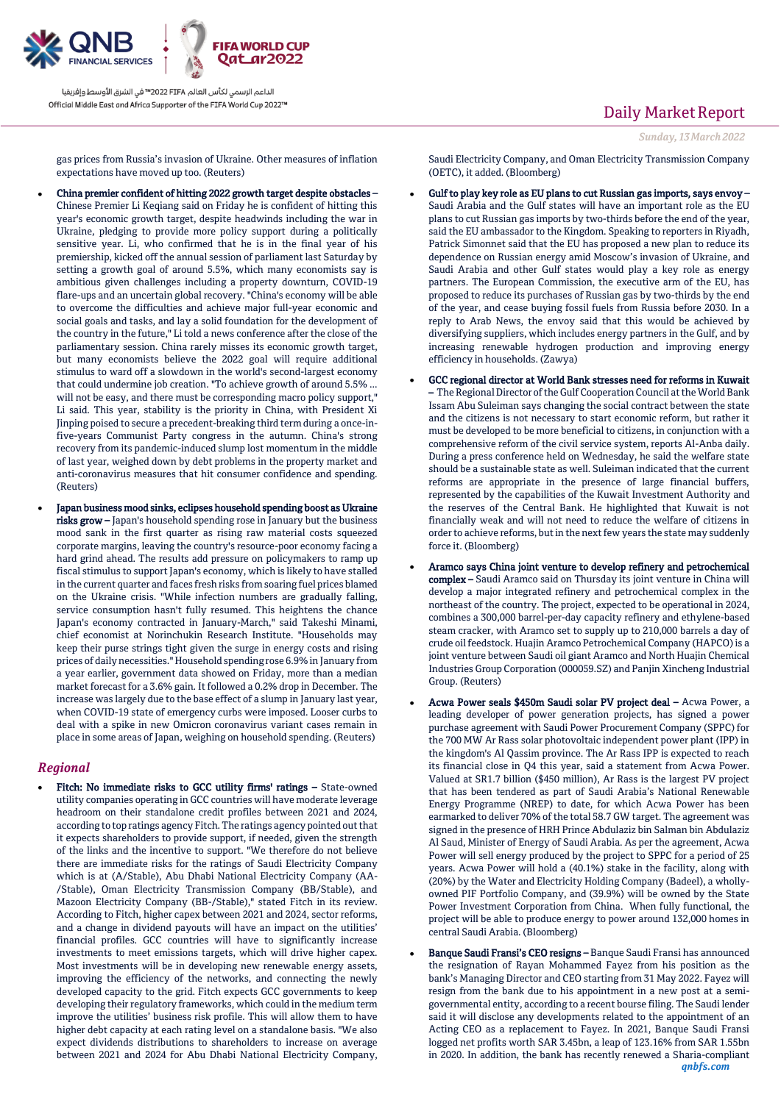

gas prices from Russia's invasion of Ukraine. Other measures of inflation expectations have moved up too. (Reuters)

- China premier confident of hitting 2022 growth target despite obstacles Chinese Premier Li Keqiang said on Friday he is confident of hitting this year's economic growth target, despite headwinds including the war in Ukraine, pledging to provide more policy support during a politically sensitive year. Li, who confirmed that he is in the final year of his premiership, kicked off the annual session of parliament last Saturday by setting a growth goal of around 5.5%, which many economists say is ambitious given challenges including a property downturn, COVID-19 flare-ups and an uncertain global recovery. "China's economy will be able to overcome the difficulties and achieve major full-year economic and social goals and tasks, and lay a solid foundation for the development of the country in the future," Li told a news conference after the close of the parliamentary session. China rarely misses its economic growth target, but many economists believe the 2022 goal will require additional stimulus to ward off a slowdown in the world's second-largest economy that could undermine job creation. "To achieve growth of around 5.5% ... will not be easy, and there must be corresponding macro policy support," Li said. This year, stability is the priority in China, with President Xi Jinping poised to secure a precedent-breaking third term during a once-infive-years Communist Party congress in the autumn. China's strong recovery from its pandemic-induced slump lost momentum in the middle of last year, weighed down by debt problems in the property market and anti-coronavirus measures that hit consumer confidence and spending. (Reuters)
- Japan business mood sinks, eclipses household spending boost as Ukraine risks grow – Japan's household spending rose in January but the business mood sank in the first quarter as rising raw material costs squeezed corporate margins, leaving the country's resource-poor economy facing a hard grind ahead. The results add pressure on policymakers to ramp up fiscal stimulus to support Japan's economy, which is likely to have stalled in the current quarter and faces fresh risks from soaring fuel prices blamed on the Ukraine crisis. "While infection numbers are gradually falling, service consumption hasn't fully resumed. This heightens the chance Japan's economy contracted in January-March," said Takeshi Minami, chief economist at Norinchukin Research Institute. "Households may keep their purse strings tight given the surge in energy costs and rising prices of daily necessities." Household spending rose 6.9% in January from a year earlier, government data showed on Friday, more than a median market forecast for a 3.6% gain. It followed a 0.2% drop in December. The increase was largely due to the base effect of a slump in January last year, when COVID-19 state of emergency curbs were imposed. Looser curbs to deal with a spike in new Omicron coronavirus variant cases remain in place in some areas of Japan, weighing on household spending. (Reuters)

## *Regional*

 Fitch: No immediate risks to GCC utility firms' ratings – State-owned utility companies operating in GCC countries will have moderate leverage headroom on their standalone credit profiles between 2021 and 2024, according to top ratings agency Fitch. The ratings agency pointed out that it expects shareholders to provide support, if needed, given the strength of the links and the incentive to support. "We therefore do not believe there are immediate risks for the ratings of Saudi Electricity Company which is at (A/Stable), Abu Dhabi National Electricity Company (AA- /Stable), Oman Electricity Transmission Company (BB/Stable), and Mazoon Electricity Company (BB-/Stable)," stated Fitch in its review. According to Fitch, higher capex between 2021 and 2024, sector reforms, and a change in dividend payouts will have an impact on the utilities' financial profiles. GCC countries will have to significantly increase investments to meet emissions targets, which will drive higher capex. Most investments will be in developing new renewable energy assets, improving the efficiency of the networks, and connecting the newly developed capacity to the grid. Fitch expects GCC governments to keep developing their regulatory frameworks, which could in the medium term improve the utilities' business risk profile. This will allow them to have higher debt capacity at each rating level on a standalone basis. "We also expect dividends distributions to shareholders to increase on average between 2021 and 2024 for Abu Dhabi National Electricity Company,

Daily Market Report

Saudi Electricity Company, and Oman Electricity Transmission Company (OETC), it added. (Bloomberg)

- Gulf to play key role as EU plans to cut Russian gas imports, says envoy Saudi Arabia and the Gulf states will have an important role as the EU plans to cut Russian gas imports by two-thirds before the end of the year, said the EU ambassador to the Kingdom. Speaking to reporters in Riyadh, Patrick Simonnet said that the EU has proposed a new plan to reduce its dependence on Russian energy amid Moscow's invasion of Ukraine, and Saudi Arabia and other Gulf states would play a key role as energy partners. The European Commission, the executive arm of the EU, has proposed to reduce its purchases of Russian gas by two-thirds by the end of the year, and cease buying fossil fuels from Russia before 2030. In a reply to Arab News, the envoy said that this would be achieved by diversifying suppliers, which includes energy partners in the Gulf, and by increasing renewable hydrogen production and improving energy efficiency in households. (Zawya)
- GCC regional director at World Bank stresses need for reforms in Kuwait – The Regional Director of the Gulf Cooperation Council at the World Bank Issam Abu Suleiman says changing the social contract between the state and the citizens is not necessary to start economic reform, but rather it must be developed to be more beneficial to citizens, in conjunction with a comprehensive reform of the civil service system, reports Al-Anba daily. During a press conference held on Wednesday, he said the welfare state should be a sustainable state as well. Suleiman indicated that the current reforms are appropriate in the presence of large financial buffers, represented by the capabilities of the Kuwait Investment Authority and the reserves of the Central Bank. He highlighted that Kuwait is not financially weak and will not need to reduce the welfare of citizens in order to achieve reforms, but in the next few years the state may suddenly force it. (Bloomberg)
- Aramco says China joint venture to develop refinery and petrochemical complex – Saudi Aramco said on Thursday its joint venture in China will develop a major integrated refinery and petrochemical complex in the northeast of the country. The project, expected to be operational in 2024, combines a 300,000 barrel-per-day capacity refinery and ethylene-based steam cracker, with Aramco set to supply up to 210,000 barrels a day of crude oil feedstock. Huajin Aramco Petrochemical Company (HAPCO) is a joint venture between Saudi oil giant Aramco and North Huajin Chemical Industries Group Corporation (000059.SZ) and Panjin Xincheng Industrial Group. (Reuters)
- Acwa Power seals \$450m Saudi solar PV project deal Acwa Power, a leading developer of power generation projects, has signed a power purchase agreement with Saudi Power Procurement Company (SPPC) for the 700 MW Ar Rass solar photovoltaic independent power plant (IPP) in the kingdom's Al Qassim province. The Ar Rass IPP is expected to reach its financial close in Q4 this year, said a statement from Acwa Power. Valued at SR1.7 billion (\$450 million), Ar Rass is the largest PV project that has been tendered as part of Saudi Arabia's National Renewable Energy Programme (NREP) to date, for which Acwa Power has been earmarked to deliver 70% of the total 58.7 GW target. The agreement was signed in the presence of HRH Prince Abdulaziz bin Salman bin Abdulaziz Al Saud, Minister of Energy of Saudi Arabia. As per the agreement, Acwa Power will sell energy produced by the project to SPPC for a period of 25 years. Acwa Power will hold a (40.1%) stake in the facility, along with (20%) by the Water and Electricity Holding Company (Badeel), a whollyowned PIF Portfolio Company, and (39.9%) will be owned by the State Power Investment Corporation from China. When fully functional, the project will be able to produce energy to power around 132,000 homes in central Saudi Arabia. (Bloomberg)
- *qnbfs.com* Banque Saudi Fransi's CEO resigns – Banque Saudi Fransi has announced the resignation of Rayan Mohammed Fayez from his position as the bank's Managing Director and CEO starting from 31 May 2022. Fayez will resign from the bank due to his appointment in a new post at a semigovernmental entity, according to a recent bourse filing. The Saudi lender said it will disclose any developments related to the appointment of an Acting CEO as a replacement to Fayez. In 2021, Banque Saudi Fransi logged net profits worth SAR 3.45bn, a leap of 123.16% from SAR 1.55bn in 2020. In addition, the bank has recently renewed a Sharia-compliant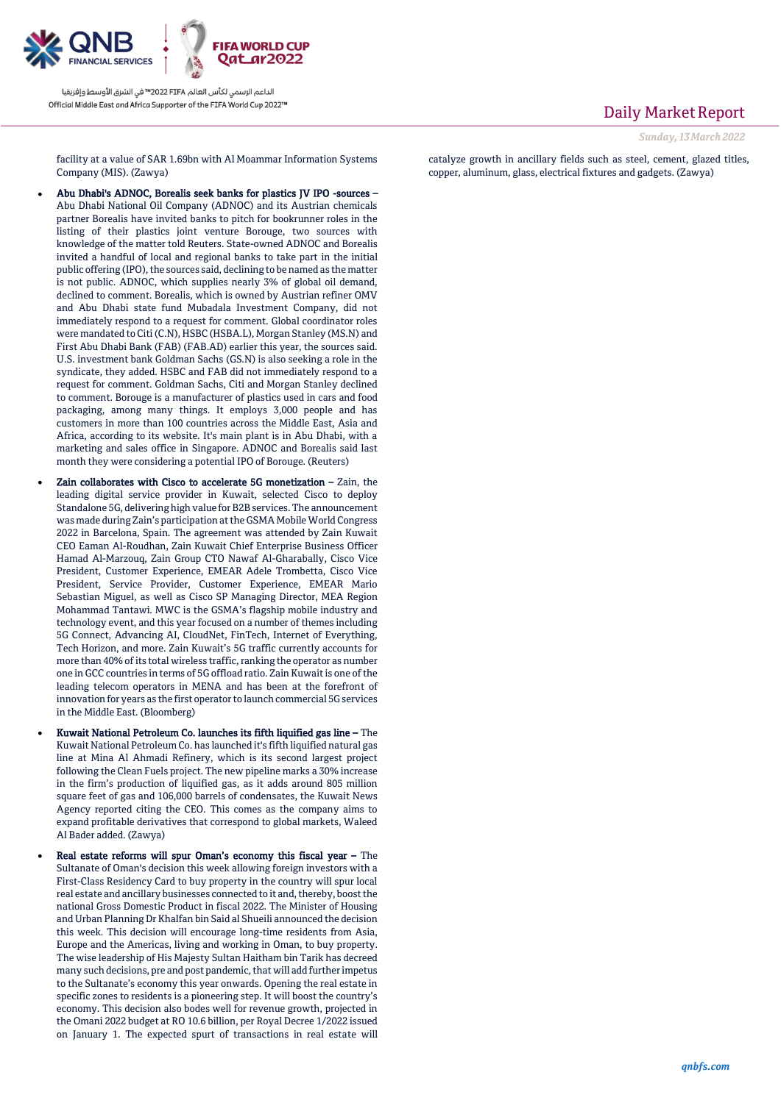

## Daily Market Report

*Sunday, 13March2022*

facility at a value of SAR 1.69bn with Al Moammar Information Systems Company (MIS). (Zawya)

- Abu Dhabi's ADNOC, Borealis seek banks for plastics JV IPO -sources Abu Dhabi National Oil Company (ADNOC) and its Austrian chemicals partner Borealis have invited banks to pitch for bookrunner roles in the listing of their plastics joint venture Borouge, two sources with knowledge of the matter told Reuters. State-owned ADNOC and Borealis invited a handful of local and regional banks to take part in the initial public offering (IPO), the sources said, declining to be named as the matter is not public. ADNOC, which supplies nearly 3% of global oil demand, declined to comment. Borealis, which is owned by Austrian refiner OMV and Abu Dhabi state fund Mubadala Investment Company, did not immediately respond to a request for comment. Global coordinator roles were mandated to Citi (C.N), HSBC (HSBA.L), Morgan Stanley (MS.N) and First Abu Dhabi Bank (FAB) (FAB.AD) earlier this year, the sources said. U.S. investment bank Goldman Sachs (GS.N) is also seeking a role in the syndicate, they added. HSBC and FAB did not immediately respond to a request for comment. Goldman Sachs, Citi and Morgan Stanley declined to comment. Borouge is a manufacturer of plastics used in cars and food packaging, among many things. It employs 3,000 people and has customers in more than 100 countries across the Middle East, Asia and Africa, according to its website. It's main plant is in Abu Dhabi, with a marketing and sales office in Singapore. ADNOC and Borealis said last month they were considering a potential IPO of Borouge. (Reuters)
- Zain collaborates with Cisco to accelerate 5G monetization Zain, the leading digital service provider in Kuwait, selected Cisco to deploy Standalone 5G, delivering high value for B2B services. The announcement was made during Zain's participation at the GSMA Mobile World Congress 2022 in Barcelona, Spain. The agreement was attended by Zain Kuwait CEO Eaman Al-Roudhan, Zain Kuwait Chief Enterprise Business Officer Hamad Al-Marzouq, Zain Group CTO Nawaf Al-Gharabally, Cisco Vice President, Customer Experience, EMEAR Adele Trombetta, Cisco Vice President, Service Provider, Customer Experience, EMEAR Mario Sebastian Miguel, as well as Cisco SP Managing Director, MEA Region Mohammad Tantawi. MWC is the GSMA's flagship mobile industry and technology event, and this year focused on a number of themes including 5G Connect, Advancing AI, CloudNet, FinTech, Internet of Everything, Tech Horizon, and more. Zain Kuwait's 5G traffic currently accounts for more than 40% of its total wireless traffic, ranking the operator as number one in GCC countries in terms of 5G offload ratio. Zain Kuwait is one of the leading telecom operators in MENA and has been at the forefront of innovation for years as the first operator to launch commercial 5G services in the Middle East. (Bloomberg)
- Kuwait National Petroleum Co. launches its fifth liquified gas line The Kuwait National Petroleum Co. has launched it's fifth liquified natural gas line at Mina Al Ahmadi Refinery, which is its second largest project following the Clean Fuels project. The new pipeline marks a 30% increase in the firm's production of liquified gas, as it adds around 805 million square feet of gas and 106,000 barrels of condensates, the Kuwait News Agency reported citing the CEO. This comes as the company aims to expand profitable derivatives that correspond to global markets, Waleed Al Bader added. (Zawya)
- Real estate reforms will spur Oman's economy this fiscal year The Sultanate of Oman's decision this week allowing foreign investors with a First-Class Residency Card to buy property in the country will spur local real estate and ancillary businesses connected to it and, thereby, boost the national Gross Domestic Product in fiscal 2022. The Minister of Housing and Urban Planning Dr Khalfan bin Said al Shueili announced the decision this week. This decision will encourage long-time residents from Asia, Europe and the Americas, living and working in Oman, to buy property. The wise leadership of His Majesty Sultan Haitham bin Tarik has decreed many such decisions, pre and post pandemic, that will add further impetus to the Sultanate's economy this year onwards. Opening the real estate in specific zones to residents is a pioneering step. It will boost the country's economy. This decision also bodes well for revenue growth, projected in the Omani 2022 budget at RO 10.6 billion, per Royal Decree 1/2022 issued on January 1. The expected spurt of transactions in real estate will

catalyze growth in ancillary fields such as steel, cement, glazed titles, copper, aluminum, glass, electrical fixtures and gadgets. (Zawya)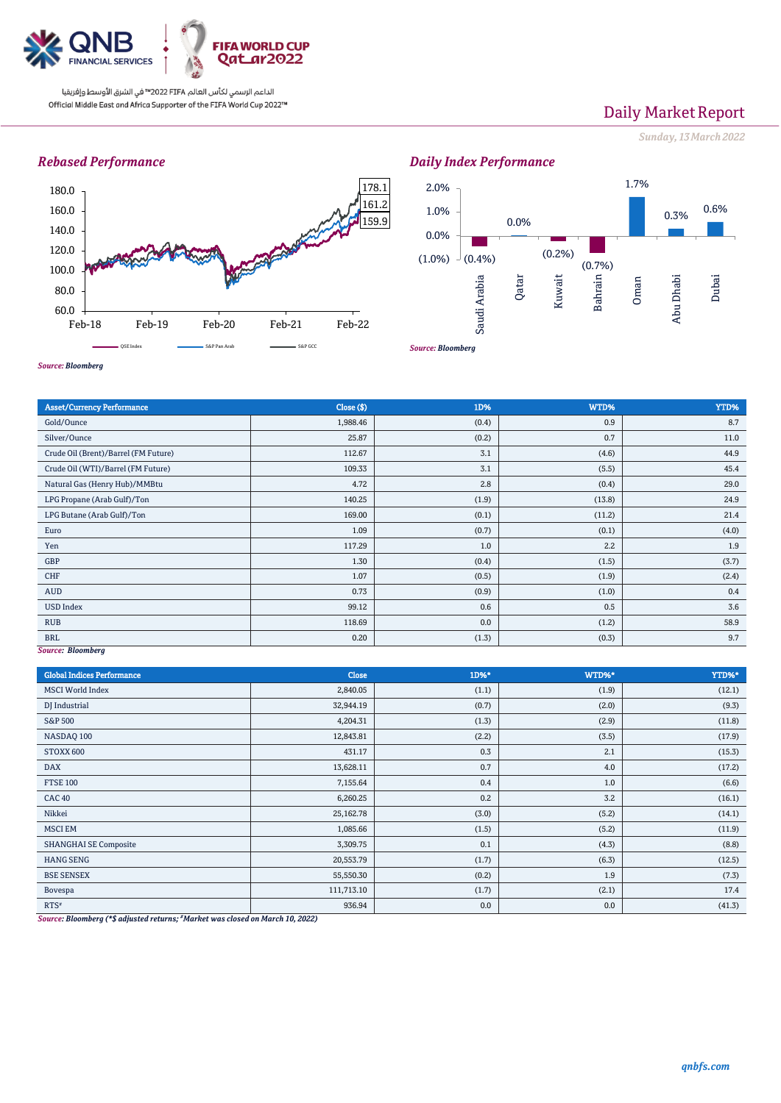

# Daily Market Report

*Sunday, 13March2022*

## *Rebased Performance*





#### *Source: Bloomberg*

| <b>Asset/Currency Performance</b>    | Close ( \$) | 1D%   | WTD%   | YTD%  |  |  |  |
|--------------------------------------|-------------|-------|--------|-------|--|--|--|
| Gold/Ounce                           | 1,988.46    | (0.4) | 0.9    | 8.7   |  |  |  |
| Silver/Ounce                         | 25.87       | (0.2) | 0.7    | 11.0  |  |  |  |
| Crude Oil (Brent)/Barrel (FM Future) | 112.67      | 3.1   | (4.6)  | 44.9  |  |  |  |
| Crude Oil (WTI)/Barrel (FM Future)   | 109.33      | 3.1   | (5.5)  | 45.4  |  |  |  |
| Natural Gas (Henry Hub)/MMBtu        | 4.72        | 2.8   | (0.4)  | 29.0  |  |  |  |
| LPG Propane (Arab Gulf)/Ton          | 140.25      | (1.9) | (13.8) | 24.9  |  |  |  |
| LPG Butane (Arab Gulf)/Ton           | 169.00      | (0.1) | (11.2) | 21.4  |  |  |  |
| Euro                                 | 1.09        | (0.7) | (0.1)  | (4.0) |  |  |  |
| Yen                                  | 117.29      | 1.0   | 2.2    | 1.9   |  |  |  |
| GBP                                  | 1.30        | (0.4) | (1.5)  | (3.7) |  |  |  |
| CHF                                  | 1.07        | (0.5) | (1.9)  | (2.4) |  |  |  |
| <b>AUD</b>                           | 0.73        | (0.9) | (1.0)  | 0.4   |  |  |  |
| <b>USD Index</b>                     | 99.12       | 0.6   | 0.5    | 3.6   |  |  |  |
| <b>RUB</b>                           | 118.69      | 0.0   | (1.2)  | 58.9  |  |  |  |
| <b>BRL</b>                           | 0.20        | (1.3) | (0.3)  | 9.7   |  |  |  |
| Source: Bloomberg                    |             |       |        |       |  |  |  |

#### *Source: Bloomberg*

| <b>Global Indices Performance</b> | <b>Close</b> | 1D%*  | WTD%* | YTD%*  |
|-----------------------------------|--------------|-------|-------|--------|
| <b>MSCI</b> World Index           | 2,840.05     | (1.1) | (1.9) | (12.1) |
| DJ Industrial                     | 32,944.19    | (0.7) | (2.0) | (9.3)  |
| S&P 500                           | 4,204.31     | (1.3) | (2.9) | (11.8) |
| NASDAQ 100                        | 12,843.81    | (2.2) | (3.5) | (17.9) |
| STOXX 600                         | 431.17       | 0.3   | 2.1   | (15.3) |
| <b>DAX</b>                        | 13,628.11    | 0.7   | 4.0   | (17.2) |
| <b>FTSE 100</b>                   | 7,155.64     | 0.4   | 1.0   | (6.6)  |
| CAC <sub>40</sub>                 | 6,260.25     | 0.2   | 3.2   | (16.1) |
| Nikkei                            | 25,162.78    | (3.0) | (5.2) | (14.1) |
| <b>MSCI EM</b>                    | 1,085.66     | (1.5) | (5.2) | (11.9) |
| <b>SHANGHAI SE Composite</b>      | 3,309.75     | 0.1   | (4.3) | (8.8)  |
| <b>HANG SENG</b>                  | 20,553.79    | (1.7) | (6.3) | (12.5) |
| <b>BSE SENSEX</b>                 | 55,550.30    | (0.2) | 1.9   | (7.3)  |
| Bovespa                           | 111,713.10   | (1.7) | (2.1) | 17.4   |
| $RTS^*$                           | 936.94       | 0.0   | 0.0   | (41.3) |

*Source: Bloomberg (\*\$ adjusted returns; #Market was closed on March 10, 2022)*

*qnbfs.com*